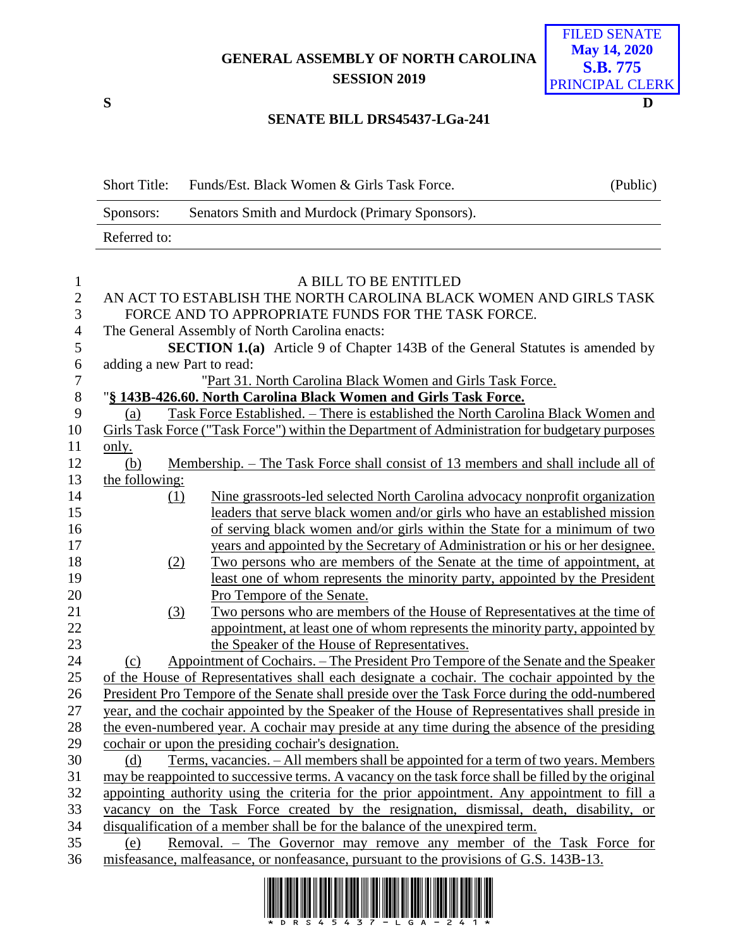**GENERAL ASSEMBLY OF NORTH CAROLINA SESSION 2019**

**S D**

only.

## **SENATE BILL DRS45437-LGa-241**

|                | <b>Short Title:</b>                                                                             |     | Funds/Est. Black Women & Girls Task Force.                                                     | (Public) |  |  |
|----------------|-------------------------------------------------------------------------------------------------|-----|------------------------------------------------------------------------------------------------|----------|--|--|
|                | Sponsors:                                                                                       |     | Senators Smith and Murdock (Primary Sponsors).                                                 |          |  |  |
|                | Referred to:                                                                                    |     |                                                                                                |          |  |  |
|                |                                                                                                 |     |                                                                                                |          |  |  |
| 1              |                                                                                                 |     | A BILL TO BE ENTITLED                                                                          |          |  |  |
| $\mathbf{2}$   |                                                                                                 |     | AN ACT TO ESTABLISH THE NORTH CAROLINA BLACK WOMEN AND GIRLS TASK                              |          |  |  |
| 3              | FORCE AND TO APPROPRIATE FUNDS FOR THE TASK FORCE.                                              |     |                                                                                                |          |  |  |
| $\overline{4}$ | The General Assembly of North Carolina enacts:                                                  |     |                                                                                                |          |  |  |
| 5              | <b>SECTION 1.(a)</b> Article 9 of Chapter 143B of the General Statutes is amended by            |     |                                                                                                |          |  |  |
| 6              | adding a new Part to read:                                                                      |     |                                                                                                |          |  |  |
| $\tau$         | "Part 31. North Carolina Black Women and Girls Task Force.                                      |     |                                                                                                |          |  |  |
| 8              | "§ 143B-426.60. North Carolina Black Women and Girls Task Force.                                |     |                                                                                                |          |  |  |
| 9              | (a)                                                                                             |     | Task Force Established. – There is established the North Carolina Black Women and              |          |  |  |
| 10             |                                                                                                 |     | Girls Task Force ("Task Force") within the Department of Administration for budgetary purposes |          |  |  |
| 11             | only.                                                                                           |     |                                                                                                |          |  |  |
| 12             | (b)                                                                                             |     | Membership. – The Task Force shall consist of 13 members and shall include all of              |          |  |  |
| 13             | the following:                                                                                  |     |                                                                                                |          |  |  |
| 14             |                                                                                                 | (1) | Nine grassroots-led selected North Carolina advocacy nonprofit organization                    |          |  |  |
| 15             |                                                                                                 |     | leaders that serve black women and/or girls who have an established mission                    |          |  |  |
| 16             |                                                                                                 |     | of serving black women and/or girls within the State for a minimum of two                      |          |  |  |
| 17             |                                                                                                 |     | years and appointed by the Secretary of Administration or his or her designee.                 |          |  |  |
| 18             |                                                                                                 | (2) | Two persons who are members of the Senate at the time of appointment, at                       |          |  |  |
| 19             |                                                                                                 |     | least one of whom represents the minority party, appointed by the President                    |          |  |  |
| 20             |                                                                                                 |     | Pro Tempore of the Senate.                                                                     |          |  |  |
| 21             |                                                                                                 | (3) | Two persons who are members of the House of Representatives at the time of                     |          |  |  |
| 22             |                                                                                                 |     | appointment, at least one of whom represents the minority party, appointed by                  |          |  |  |
| 23             |                                                                                                 |     | the Speaker of the House of Representatives.                                                   |          |  |  |
| 24             | (c)                                                                                             |     | Appointment of Cochairs. – The President Pro Tempore of the Senate and the Speaker             |          |  |  |
| 25             | of the House of Representatives shall each designate a cochair. The cochair appointed by the    |     |                                                                                                |          |  |  |
| 26             | President Pro Tempore of the Senate shall preside over the Task Force during the odd-numbered   |     |                                                                                                |          |  |  |
| 27             | year, and the cochair appointed by the Speaker of the House of Representatives shall preside in |     |                                                                                                |          |  |  |

 the even-numbered year. A cochair may preside at any time during the absence of the presiding cochair or upon the presiding cochair's designation.

 (d) Terms, vacancies. – All members shall be appointed for a term of two years. Members may be reappointed to successive terms. A vacancy on the task force shall be filled by the original appointing authority using the criteria for the prior appointment. Any appointment to fill a vacancy on the Task Force created by the resignation, dismissal, death, disability, or disqualification of a member shall be for the balance of the unexpired term.

 (e) Removal. – The Governor may remove any member of the Task Force for misfeasance, malfeasance, or nonfeasance, pursuant to the provisions of G.S. 143B-13.